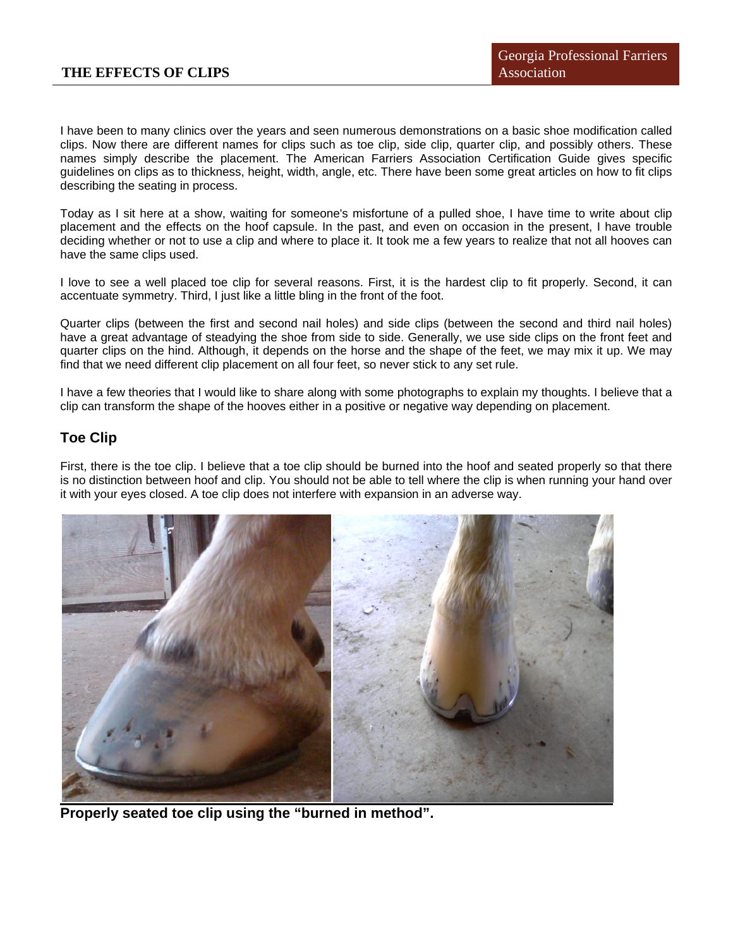I have been to many clinics over the years and seen numerous demonstrations on a basic shoe modification called clips. Now there are different names for clips such as toe clip, side clip, quarter clip, and possibly others. These names simply describe the placement. The American Farriers Association Certification Guide gives specific guidelines on clips as to thickness, height, width, angle, etc. There have been some great articles on how to fit clips describing the seating in process.

Today as I sit here at a show, waiting for someone's misfortune of a pulled shoe, I have time to write about clip placement and the effects on the hoof capsule. In the past, and even on occasion in the present, I have trouble deciding whether or not to use a clip and where to place it. It took me a few years to realize that not all hooves can have the same clips used.

I love to see a well placed toe clip for several reasons. First, it is the hardest clip to fit properly. Second, it can accentuate symmetry. Third, I just like a little bling in the front of the foot.

Quarter clips (between the first and second nail holes) and side clips (between the second and third nail holes) have a great advantage of steadying the shoe from side to side. Generally, we use side clips on the front feet and quarter clips on the hind. Although, it depends on the horse and the shape of the feet, we may mix it up. We may find that we need different clip placement on all four feet, so never stick to any set rule.

I have a few theories that I would like to share along with some photographs to explain my thoughts. I believe that a clip can transform the shape of the hooves either in a positive or negative way depending on placement.

## **Toe Clip**

First, there is the toe clip. I believe that a toe clip should be burned into the hoof and seated properly so that there is no distinction between hoof and clip. You should not be able to tell where the clip is when running your hand over it with your eyes closed. A toe clip does not interfere with expansion in an adverse way.



**Properly seated toe clip using the "burned in method".**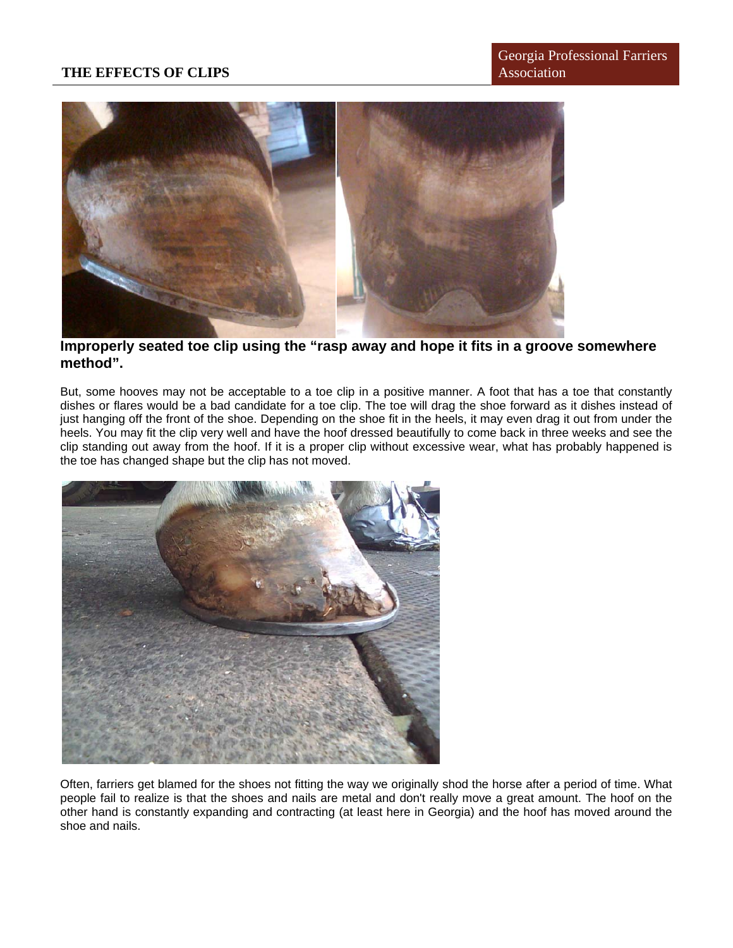

**Improperly seated toe clip using the "rasp away and hope it fits in a groove somewhere method".** 

But, some hooves may not be acceptable to a toe clip in a positive manner. A foot that has a toe that constantly dishes or flares would be a bad candidate for a toe clip. The toe will drag the shoe forward as it dishes instead of just hanging off the front of the shoe. Depending on the shoe fit in the heels, it may even drag it out from under the heels. You may fit the clip very well and have the hoof dressed beautifully to come back in three weeks and see the clip standing out away from the hoof. If it is a proper clip without excessive wear, what has probably happened is the toe has changed shape but the clip has not moved.



Often, farriers get blamed for the shoes not fitting the way we originally shod the horse after a period of time. What people fail to realize is that the shoes and nails are metal and don't really move a great amount. The hoof on the other hand is constantly expanding and contracting (at least here in Georgia) and the hoof has moved around the shoe and nails.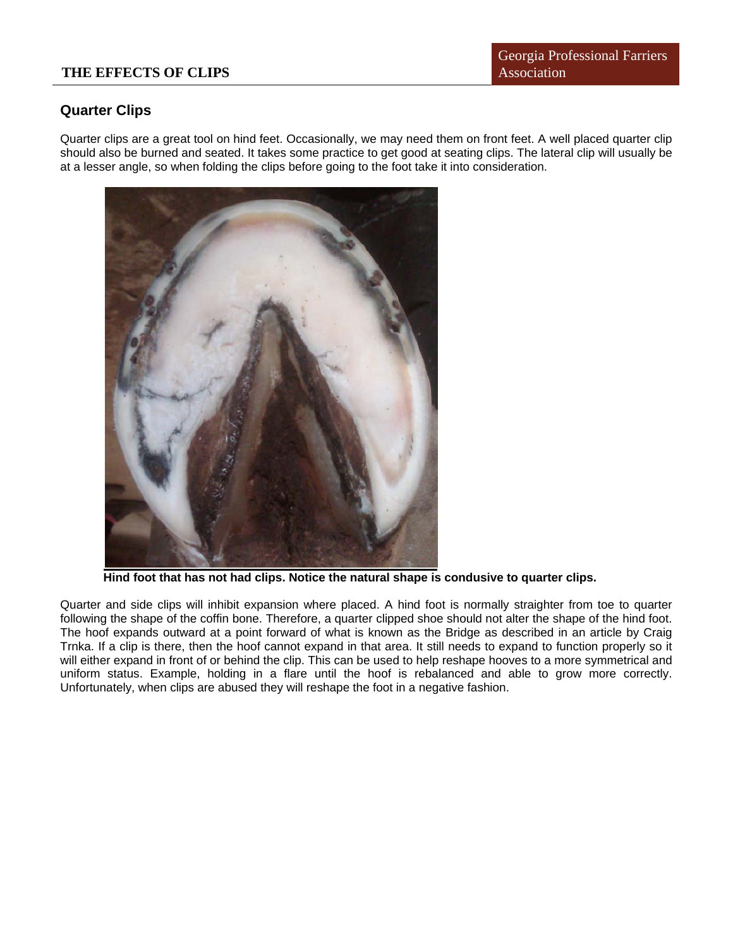## **Quarter Clips**

Quarter clips are a great tool on hind feet. Occasionally, we may need them on front feet. A well placed quarter clip should also be burned and seated. It takes some practice to get good at seating clips. The lateral clip will usually be at a lesser angle, so when folding the clips before going to the foot take it into consideration.



**Hind foot that has not had clips. Notice the natural shape is condusive to quarter clips.** 

Quarter and side clips will inhibit expansion where placed. A hind foot is normally straighter from toe to quarter following the shape of the coffin bone. Therefore, a quarter clipped shoe should not alter the shape of the hind foot. The hoof expands outward at a point forward of what is known as the Bridge as described in an article by Craig Trnka. If a clip is there, then the hoof cannot expand in that area. It still needs to expand to function properly so it will either expand in front of or behind the clip. This can be used to help reshape hooves to a more symmetrical and uniform status. Example, holding in a flare until the hoof is rebalanced and able to grow more correctly. Unfortunately, when clips are abused they will reshape the foot in a negative fashion.